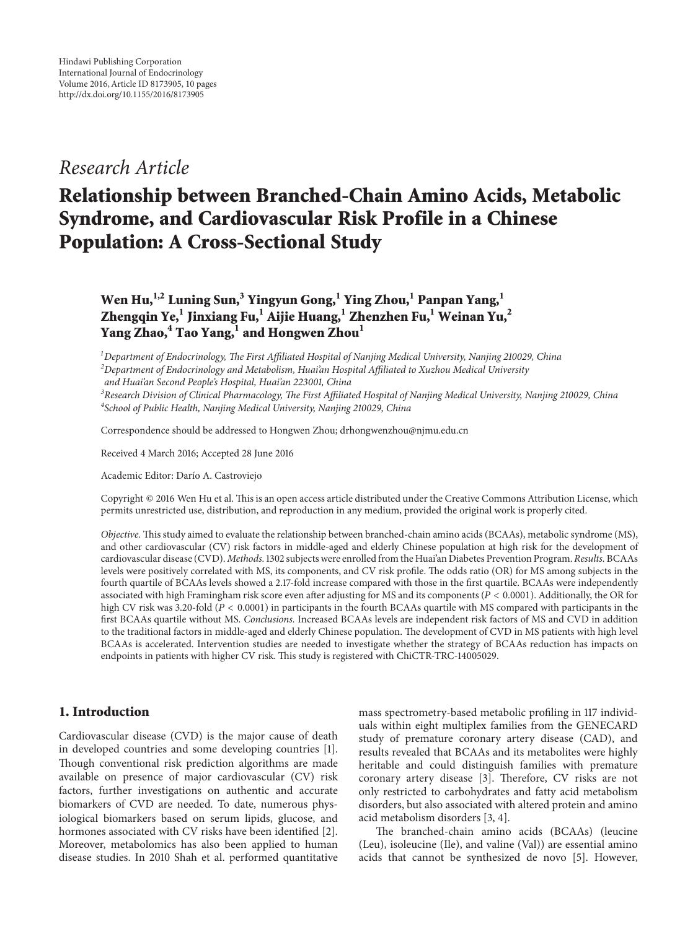# *Research Article*

# **Relationship between Branched-Chain Amino Acids, Metabolic Syndrome, and Cardiovascular Risk Profile in a Chinese Population: A Cross-Sectional Study**

**Wen Hu,1,2 Luning Sun,3 Yingyun Gong,<sup>1</sup> Ying Zhou,<sup>1</sup> Panpan Yang,1 Zhengqin Ye,<sup>1</sup> Jinxiang Fu,1 Aijie Huang,1 Zhenzhen Fu,<sup>1</sup> Weinan Yu,2 Yang Zhao,4 Tao Yang,<sup>1</sup> and Hongwen Zhou<sup>1</sup>**

*1 Department of Endocrinology, The First Affiliated Hospital of Nanjing Medical University, Nanjing 210029, China 2 Department of Endocrinology and Metabolism, Huai'an Hospital Affiliated to Xuzhou Medical University and Huai'an Second People's Hospital, Huai'an 223001, China*

*3 Research Division of Clinical Pharmacology, The First Affiliated Hospital of Nanjing Medical University, Nanjing 210029, China 4 School of Public Health, Nanjing Medical University, Nanjing 210029, China*

Correspondence should be addressed to Hongwen Zhou; drhongwenzhou@njmu.edu.cn

Received 4 March 2016; Accepted 28 June 2016

Academic Editor: Darío A. Castroviejo

Copyright © 2016 Wen Hu et al. This is an open access article distributed under the Creative Commons Attribution License, which permits unrestricted use, distribution, and reproduction in any medium, provided the original work is properly cited.

*Objective.* This study aimed to evaluate the relationship between branched-chain amino acids (BCAAs), metabolic syndrome (MS), and other cardiovascular (CV) risk factors in middle-aged and elderly Chinese population at high risk for the development of cardiovascular disease (CVD). *Methods.*1302 subjects were enrolled from the Huai'an Diabetes Prevention Program. *Results.* BCAAs levels were positively correlated with MS, its components, and CV risk profile. The odds ratio (OR) for MS among subjects in the fourth quartile of BCAAs levels showed a 2.17-fold increase compared with those in the first quartile. BCAAs were independently associated with high Framingham risk score even after adjusting for MS and its components ( $P < 0.0001$ ). Additionally, the OR for high CV risk was 3.20-fold ( $P < 0.0001$ ) in participants in the fourth BCAAs quartile with MS compared with participants in the first BCAAs quartile without MS. *Conclusions.* Increased BCAAs levels are independent risk factors of MS and CVD in addition to the traditional factors in middle-aged and elderly Chinese population. The development of CVD in MS patients with high level BCAAs is accelerated. Intervention studies are needed to investigate whether the strategy of BCAAs reduction has impacts on endpoints in patients with higher CV risk. This study is registered with ChiCTR-TRC-14005029.

## **1. Introduction**

Cardiovascular disease (CVD) is the major cause of death in developed countries and some developing countries [1]. Though conventional risk prediction algorithms are made available on presence of major cardiovascular (CV) risk factors, further investigations on authentic and accurate biomarkers of CVD are needed. To date, numerous physiological biomarkers based on serum lipids, glucose, and hormones associated with CV risks have been identified [2]. Moreover, metabolomics has also been applied to human disease studies. In 2010 Shah et al. performed quantitative

mass spectrometry-based metabolic profiling in 117 individuals within eight multiplex families from the GENECARD study of premature coronary artery disease (CAD), and results revealed that BCAAs and its metabolites were highly heritable and could distinguish families with premature coronary artery disease [3]. Therefore, CV risks are not only restricted to carbohydrates and fatty acid metabolism disorders, but also associated with altered protein and amino acid metabolism disorders [3, 4].

The branched-chain amino acids (BCAAs) (leucine (Leu), isoleucine (Ile), and valine (Val)) are essential amino acids that cannot be synthesized de novo [5]. However,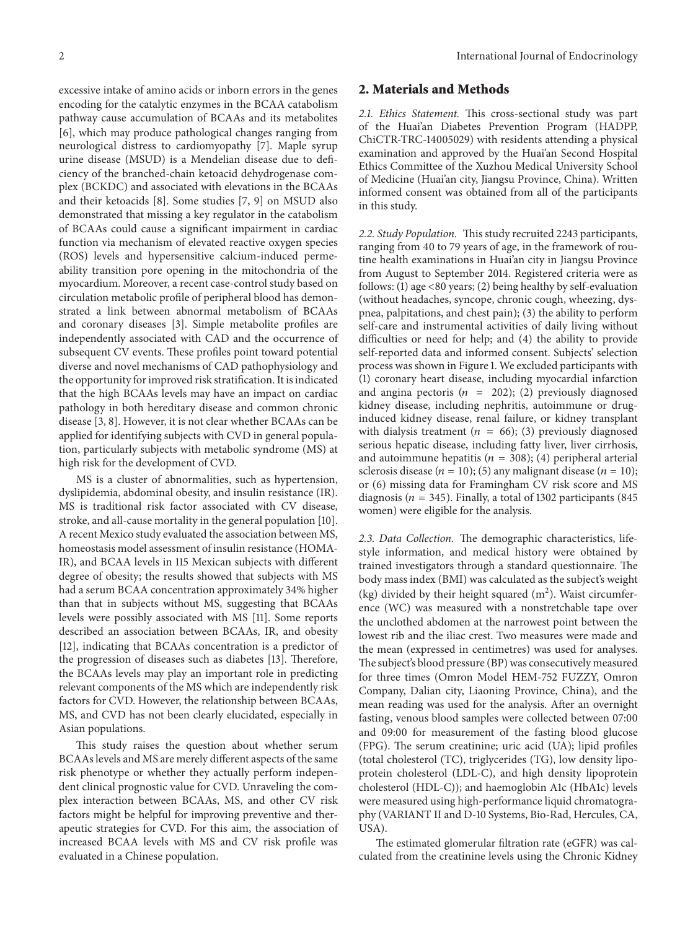excessive intake of amino acids or inborn errors in the genes encoding for the catalytic enzymes in the BCAA catabolism pathway cause accumulation of BCAAs and its metabolites [6], which may produce pathological changes ranging from neurological distress to cardiomyopathy [7]. Maple syrup urine disease (MSUD) is a Mendelian disease due to deficiency of the branched-chain ketoacid dehydrogenase complex (BCKDC) and associated with elevations in the BCAAs and their ketoacids [8]. Some studies [7, 9] on MSUD also demonstrated that missing a key regulator in the catabolism of BCAAs could cause a significant impairment in cardiac function via mechanism of elevated reactive oxygen species (ROS) levels and hypersensitive calcium-induced permeability transition pore opening in the mitochondria of the myocardium. Moreover, a recent case-control study based on circulation metabolic profile of peripheral blood has demonstrated a link between abnormal metabolism of BCAAs and coronary diseases [3]. Simple metabolite profiles are independently associated with CAD and the occurrence of subsequent CV events. These profiles point toward potential diverse and novel mechanisms of CAD pathophysiology and the opportunity for improved risk stratification. It is indicated that the high BCAAs levels may have an impact on cardiac pathology in both hereditary disease and common chronic

disease [3, 8]. However, it is not clear whether BCAAs can be applied for identifying subjects with CVD in general population, particularly subjects with metabolic syndrome (MS) at high risk for the development of CVD. MS is a cluster of abnormalities, such as hypertension,

dyslipidemia, abdominal obesity, and insulin resistance (IR). MS is traditional risk factor associated with CV disease, stroke, and all-cause mortality in the general population [10]. A recent Mexico study evaluated the association between MS, homeostasis model assessment of insulin resistance (HOMA-IR), and BCAA levels in 115 Mexican subjects with different degree of obesity; the results showed that subjects with MS had a serum BCAA concentration approximately 34% higher than that in subjects without MS, suggesting that BCAAs levels were possibly associated with MS [11]. Some reports described an association between BCAAs, IR, and obesity [12], indicating that BCAAs concentration is a predictor of the progression of diseases such as diabetes [13]. Therefore, the BCAAs levels may play an important role in predicting relevant components of the MS which are independently risk factors for CVD. However, the relationship between BCAAs, MS, and CVD has not been clearly elucidated, especially in Asian populations.

This study raises the question about whether serum BCAAs levels and MS are merely different aspects of the same risk phenotype or whether they actually perform independent clinical prognostic value for CVD. Unraveling the complex interaction between BCAAs, MS, and other CV risk factors might be helpful for improving preventive and therapeutic strategies for CVD. For this aim, the association of increased BCAA levels with MS and CV risk profile was evaluated in a Chinese population.

#### **2. Materials and Methods**

*2.1. Ethics Statement.* This cross-sectional study was part of the Huai'an Diabetes Prevention Program (HADPP, ChiCTR-TRC-14005029) with residents attending a physical examination and approved by the Huai'an Second Hospital Ethics Committee of the Xuzhou Medical University School of Medicine (Huai'an city, Jiangsu Province, China). Written informed consent was obtained from all of the participants in this study.

*2.2. Study Population.* This study recruited 2243 participants, ranging from 40 to 79 years of age, in the framework of routine health examinations in Huai'an city in Jiangsu Province from August to September 2014. Registered criteria were as follows: (1) age <80 years; (2) being healthy by self-evaluation (without headaches, syncope, chronic cough, wheezing, dyspnea, palpitations, and chest pain); (3) the ability to perform self-care and instrumental activities of daily living without difficulties or need for help; and (4) the ability to provide self-reported data and informed consent. Subjects' selection process was shown in Figure 1. We excluded participants with (1) coronary heart disease, including myocardial infarction and angina pectoris ( $n = 202$ ); (2) previously diagnosed kidney disease, including nephritis, autoimmune or druginduced kidney disease, renal failure, or kidney transplant with dialysis treatment ( $n = 66$ ); (3) previously diagnosed serious hepatic disease, including fatty liver, liver cirrhosis, and autoimmune hepatitis ( $n = 308$ ); (4) peripheral arterial sclerosis disease ( $n = 10$ ); (5) any malignant disease ( $n = 10$ ); or (6) missing data for Framingham CV risk score and MS diagnosis ( $n = 345$ ). Finally, a total of 1302 participants (845) women) were eligible for the analysis.

*2.3. Data Collection.* The demographic characteristics, lifestyle information, and medical history were obtained by trained investigators through a standard questionnaire. The body mass index (BMI) was calculated as the subject's weight (kg) divided by their height squared  $(m<sup>2</sup>)$ . Waist circumference (WC) was measured with a nonstretchable tape over the unclothed abdomen at the narrowest point between the lowest rib and the iliac crest. Two measures were made and the mean (expressed in centimetres) was used for analyses. The subject's blood pressure (BP) was consecutively measured for three times (Omron Model HEM-752 FUZZY, Omron Company, Dalian city, Liaoning Province, China), and the mean reading was used for the analysis. After an overnight fasting, venous blood samples were collected between 07:00 and 09:00 for measurement of the fasting blood glucose (FPG). The serum creatinine; uric acid (UA); lipid profiles (total cholesterol (TC), triglycerides (TG), low density lipoprotein cholesterol (LDL-C), and high density lipoprotein cholesterol (HDL-C)); and haemoglobin A1c (HbA1c) levels were measured using high-performance liquid chromatography (VARIANT II and D-10 Systems, Bio-Rad, Hercules, CA, USA).

The estimated glomerular filtration rate (eGFR) was calculated from the creatinine levels using the Chronic Kidney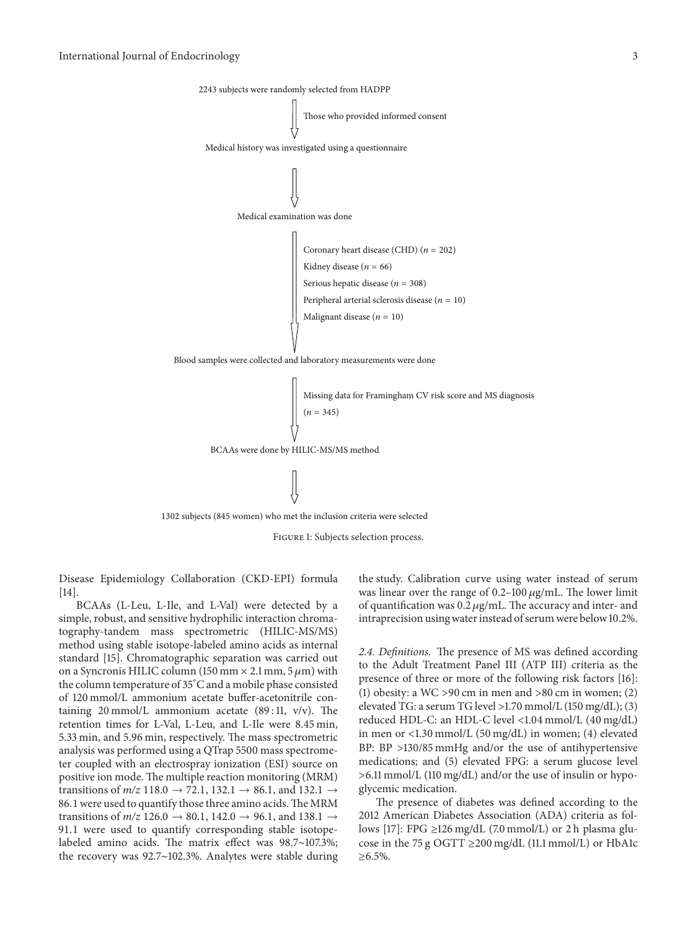

1302 subjects (845 women) who met the inclusion criteria were selected



Disease Epidemiology Collaboration (CKD-EPI) formula [14].

BCAAs (L-Leu, L-Ile, and L-Val) were detected by a simple, robust, and sensitive hydrophilic interaction chromatography-tandem mass spectrometric (HILIC-MS/MS) method using stable isotope-labeled amino acids as internal standard [15]. Chromatographic separation was carried out on a Syncronis HILIC column (150 mm  $\times$  2.1 mm, 5  $\mu$ m) with the column temperature of 35<sup>∘</sup> C and a mobile phase consisted of 120 mmol/L ammonium acetate buffer-acetonitrile containing 20 mmol/L ammonium acetate  $(89:11, v/v)$ . The retention times for L-Val, L-Leu, and L-Ile were 8.45 min, 5.33 min, and 5.96 min, respectively. The mass spectrometric analysis was performed using a QTrap 5500 mass spectrometer coupled with an electrospray ionization (ESI) source on positive ion mode. The multiple reaction monitoring (MRM) transitions of  $m/z$  118.0  $\rightarrow$  72.1, 132.1  $\rightarrow$  86.1, and 132.1  $\rightarrow$ 86.1 were used to quantify those three amino acids. The MRM transitions of  $m/z$  126.0  $\rightarrow$  80.1, 142.0  $\rightarrow$  96.1, and 138.1  $\rightarrow$ 91.1 were used to quantify corresponding stable isotopelabeled amino acids. The matrix effect was 98.7∼107.3%; the recovery was 92.7∼102.3%. Analytes were stable during

the study. Calibration curve using water instead of serum was linear over the range of  $0.2$ –100  $\mu$ g/mL. The lower limit of quantification was  $0.2 \mu$ g/mL. The accuracy and inter- and intraprecision using water instead of serum were below 10.2%.

*2.4. Definitions.* The presence of MS was defined according to the Adult Treatment Panel III (ATP III) criteria as the presence of three or more of the following risk factors [16]: (1) obesity: a WC >90 cm in men and >80 cm in women; (2) elevated TG: a serum TG level >1.70 mmol/L (150 mg/dL); (3) reduced HDL-C: an HDL-C level <1.04 mmol/L (40 mg/dL) in men or <1.30 mmol/L (50 mg/dL) in women; (4) elevated BP: BP >130/85 mmHg and/or the use of antihypertensive medications; and (5) elevated FPG: a serum glucose level >6.11 mmol/L (110 mg/dL) and/or the use of insulin or hypoglycemic medication.

The presence of diabetes was defined according to the 2012 American Diabetes Association (ADA) criteria as follows [17]: FPG ≥126 mg/dL (7.0 mmol/L) or 2 h plasma glucose in the 75 g OGTT ≥200 mg/dL (11.1 mmol/L) or HbA1c ≥6.5%.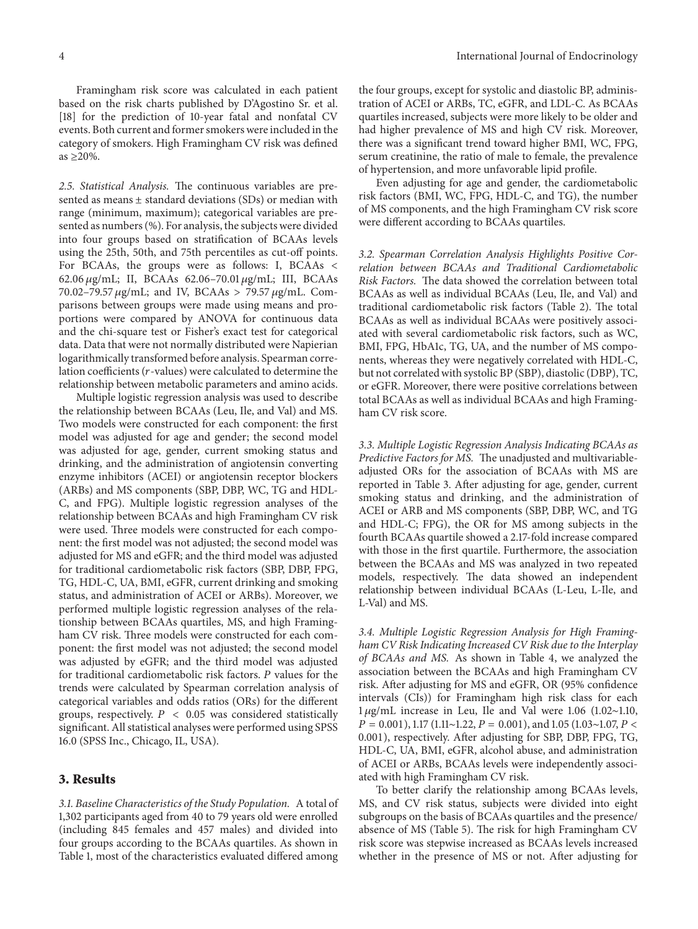Framingham risk score was calculated in each patient based on the risk charts published by D'Agostino Sr. et al. [18] for the prediction of 10-year fatal and nonfatal CV events. Both current and former smokers were included in the category of smokers. High Framingham CV risk was defined as  $\geq$  20%.

*2.5. Statistical Analysis.* The continuous variables are presented as means  $\pm$  standard deviations (SDs) or median with range (minimum, maximum); categorical variables are presented as numbers (%). For analysis, the subjects were divided into four groups based on stratification of BCAAs levels using the 25th, 50th, and 75th percentiles as cut-off points. For BCAAs, the groups were as follows: I, BCAAs < 62.06 μg/mL; II, BCAAs 62.06-70.01 μg/mL; III, BCAAs 70.02-79.57  $\mu$ g/mL; and IV, BCAAs > 79.57  $\mu$ g/mL. Comparisons between groups were made using means and proportions were compared by ANOVA for continuous data and the chi-square test or Fisher's exact test for categorical data. Data that were not normally distributed were Napierian logarithmically transformed before analysis. Spearman correlation coefficients ( $r$ -values) were calculated to determine the relationship between metabolic parameters and amino acids.

Multiple logistic regression analysis was used to describe the relationship between BCAAs (Leu, Ile, and Val) and MS. Two models were constructed for each component: the first model was adjusted for age and gender; the second model was adjusted for age, gender, current smoking status and drinking, and the administration of angiotensin converting enzyme inhibitors (ACEI) or angiotensin receptor blockers (ARBs) and MS components (SBP, DBP, WC, TG and HDL-C, and FPG). Multiple logistic regression analyses of the relationship between BCAAs and high Framingham CV risk were used. Three models were constructed for each component: the first model was not adjusted; the second model was adjusted for MS and eGFR; and the third model was adjusted for traditional cardiometabolic risk factors (SBP, DBP, FPG, TG, HDL-C, UA, BMI, eGFR, current drinking and smoking status, and administration of ACEI or ARBs). Moreover, we performed multiple logistic regression analyses of the relationship between BCAAs quartiles, MS, and high Framingham CV risk. Three models were constructed for each component: the first model was not adjusted; the second model was adjusted by eGFR; and the third model was adjusted for traditional cardiometabolic risk factors. P values for the trends were calculated by Spearman correlation analysis of categorical variables and odds ratios (ORs) for the different groups, respectively.  $P < 0.05$  was considered statistically significant. All statistical analyses were performed using SPSS 16.0 (SPSS Inc., Chicago, IL, USA).

#### **3. Results**

*3.1. Baseline Characteristics of the Study Population.* A total of 1,302 participants aged from 40 to 79 years old were enrolled (including 845 females and 457 males) and divided into four groups according to the BCAAs quartiles. As shown in Table 1, most of the characteristics evaluated differed among

the four groups, except for systolic and diastolic BP, administration of ACEI or ARBs, TC, eGFR, and LDL-C. As BCAAs quartiles increased, subjects were more likely to be older and had higher prevalence of MS and high CV risk. Moreover, there was a significant trend toward higher BMI, WC, FPG, serum creatinine, the ratio of male to female, the prevalence of hypertension, and more unfavorable lipid profile.

Even adjusting for age and gender, the cardiometabolic risk factors (BMI, WC, FPG, HDL-C, and TG), the number of MS components, and the high Framingham CV risk score were different according to BCAAs quartiles.

*3.2. Spearman Correlation Analysis Highlights Positive Correlation between BCAAs and Traditional Cardiometabolic Risk Factors.* The data showed the correlation between total BCAAs as well as individual BCAAs (Leu, Ile, and Val) and traditional cardiometabolic risk factors (Table 2). The total BCAAs as well as individual BCAAs were positively associated with several cardiometabolic risk factors, such as WC, BMI, FPG, HbA1c, TG, UA, and the number of MS components, whereas they were negatively correlated with HDL-C, but not correlated with systolic BP (SBP), diastolic (DBP), TC, or eGFR. Moreover, there were positive correlations between total BCAAs as well as individual BCAAs and high Framingham CV risk score.

*3.3. Multiple Logistic Regression Analysis Indicating BCAAs as Predictive Factors for MS.* The unadjusted and multivariableadjusted ORs for the association of BCAAs with MS are reported in Table 3. After adjusting for age, gender, current smoking status and drinking, and the administration of ACEI or ARB and MS components (SBP, DBP, WC, and TG and HDL-C; FPG), the OR for MS among subjects in the fourth BCAAs quartile showed a 2.17-fold increase compared with those in the first quartile. Furthermore, the association between the BCAAs and MS was analyzed in two repeated models, respectively. The data showed an independent relationship between individual BCAAs (L-Leu, L-Ile, and L-Val) and MS.

*3.4. Multiple Logistic Regression Analysis for High Framingham CV Risk Indicating Increased CV Risk due to the Interplay of BCAAs and MS.* As shown in Table 4, we analyzed the association between the BCAAs and high Framingham CV risk. After adjusting for MS and eGFR, OR (95% confidence intervals (CIs)) for Framingham high risk class for each 1 g/mL increase in Leu, Ile and Val were 1.06 (1.02∼1.10,  $P = 0.001$ ), 1.17 (1.11∼1.22,  $P = 0.001$ ), and 1.05 (1.03∼1.07,  $P <$ 0.001), respectively. After adjusting for SBP, DBP, FPG, TG, HDL-C, UA, BMI, eGFR, alcohol abuse, and administration of ACEI or ARBs, BCAAs levels were independently associated with high Framingham CV risk.

To better clarify the relationship among BCAAs levels, MS, and CV risk status, subjects were divided into eight subgroups on the basis of BCAAs quartiles and the presence/ absence of MS (Table 5). The risk for high Framingham CV risk score was stepwise increased as BCAAs levels increased whether in the presence of MS or not. After adjusting for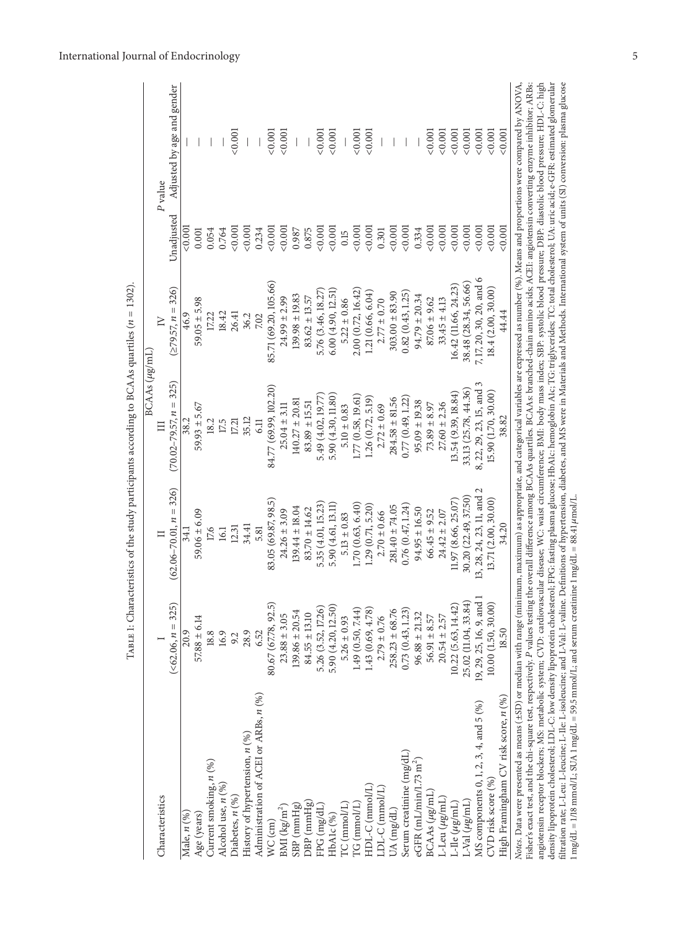|                                                                                                                                                                                                                                                                                                                                                                                                                                                                                                                                                                                                                                                                                                                                                                                                                                                                                                                                                         |                        |                            | BCAAs (µg/mL)              |                          |            |                                                                                                                                       |
|---------------------------------------------------------------------------------------------------------------------------------------------------------------------------------------------------------------------------------------------------------------------------------------------------------------------------------------------------------------------------------------------------------------------------------------------------------------------------------------------------------------------------------------------------------------------------------------------------------------------------------------------------------------------------------------------------------------------------------------------------------------------------------------------------------------------------------------------------------------------------------------------------------------------------------------------------------|------------------------|----------------------------|----------------------------|--------------------------|------------|---------------------------------------------------------------------------------------------------------------------------------------|
| Characteristics                                                                                                                                                                                                                                                                                                                                                                                                                                                                                                                                                                                                                                                                                                                                                                                                                                                                                                                                         |                        |                            | E                          | $\geq$                   |            | P value                                                                                                                               |
|                                                                                                                                                                                                                                                                                                                                                                                                                                                                                                                                                                                                                                                                                                                                                                                                                                                                                                                                                         | $(<\!62.06, n = 325)$  | $(62.06 - 70.01, n = 326)$ | $(70.02 - 79.57, n = 325)$ | $(279.57, n = 326)$      | Unadjusted | Adjusted by age and gender                                                                                                            |
| Male, n (%)                                                                                                                                                                                                                                                                                                                                                                                                                                                                                                                                                                                                                                                                                                                                                                                                                                                                                                                                             | 20.9                   | 34.1                       | 38.2                       | 46.9                     | ${<}0.00$  |                                                                                                                                       |
| Age (years)                                                                                                                                                                                                                                                                                                                                                                                                                                                                                                                                                                                                                                                                                                                                                                                                                                                                                                                                             | $57.88 \pm 6.14$       | $59.06 \pm 6.09$           | $59.93 \pm 5.67$           | $59.05 \pm 5.98$         | 0.001      |                                                                                                                                       |
| Current smoking, $n(%)$                                                                                                                                                                                                                                                                                                                                                                                                                                                                                                                                                                                                                                                                                                                                                                                                                                                                                                                                 | 18.8                   | 17.6                       | 18.2                       | 17.22                    | 0.054      |                                                                                                                                       |
| Alcohol use, $n$ $(\%)$                                                                                                                                                                                                                                                                                                                                                                                                                                                                                                                                                                                                                                                                                                                                                                                                                                                                                                                                 | 16.9                   | 16.1                       | 17.5                       | 18.42                    | 0.764      |                                                                                                                                       |
| Diabetes, $n$ (%)                                                                                                                                                                                                                                                                                                                                                                                                                                                                                                                                                                                                                                                                                                                                                                                                                                                                                                                                       | 9.2                    | $12.31$                    | 17.21                      | 26.41                    | 0.001      | < 0.001                                                                                                                               |
| History of hypertension, $n$ (%)                                                                                                                                                                                                                                                                                                                                                                                                                                                                                                                                                                                                                                                                                                                                                                                                                                                                                                                        | 28.9                   | 34.41                      | 35.12                      | 36.2                     | 0.001      |                                                                                                                                       |
| Administration of ACEI or ARBs, n (%)                                                                                                                                                                                                                                                                                                                                                                                                                                                                                                                                                                                                                                                                                                                                                                                                                                                                                                                   | 6.52                   | 5.81                       | 6.11                       | 7.02                     | 0.234      |                                                                                                                                       |
| $WC$ $(cm)$                                                                                                                                                                                                                                                                                                                                                                                                                                                                                                                                                                                                                                                                                                                                                                                                                                                                                                                                             | 80.67 (67.78, 92.5)    | 83.05 (69.87, 98.5)        | 84.77 (69.99, 102.20)      | 85.71 (69.20, 105.66)    | 0.001      | 0.001                                                                                                                                 |
| $\rm BMI$ (kg/m <sup>2</sup> )                                                                                                                                                                                                                                                                                                                                                                                                                                                                                                                                                                                                                                                                                                                                                                                                                                                                                                                          | $23.88 \pm 3.05$       | $24.26 \pm 3.09$           | $25.04 \pm 3.11$           | $24.99 \pm 2.99$         | 0.001      | < 0.001                                                                                                                               |
| $SBP$ (mmHg)                                                                                                                                                                                                                                                                                                                                                                                                                                                                                                                                                                                                                                                                                                                                                                                                                                                                                                                                            | $139.86 \pm 20.54$     | $139.44 \pm 18.04$         | $140.27 \pm 20.81$         | $139.98 \pm 19.83$       | 0.987      |                                                                                                                                       |
| $DBP$ ( $mmHg$ )                                                                                                                                                                                                                                                                                                                                                                                                                                                                                                                                                                                                                                                                                                                                                                                                                                                                                                                                        | $84.55 \pm 13.10$      | $83.70 \pm 14.62$          | $83.89 \pm 15.51$          | $83.62 \pm 13.57$        | 0.875      |                                                                                                                                       |
| FPG (mg/dL)                                                                                                                                                                                                                                                                                                                                                                                                                                                                                                                                                                                                                                                                                                                                                                                                                                                                                                                                             | 5.26 (3.52, 17.26)     | 5.35 (4.01, 15.23)         | 5.49 (4.02, 19.77)         | 5.76 (3.46, 18.27)       | < 0.001    | < 0.001                                                                                                                               |
| HbAlc <sup>(%)</sup>                                                                                                                                                                                                                                                                                                                                                                                                                                                                                                                                                                                                                                                                                                                                                                                                                                                                                                                                    | 5.90 (4.20, 12.50)     | 5.90 (4.61, 13.11)         | 5.90 (4.30, 11.80)         | 6.00(4.90, 12.51)        | < 0.001    | < 0.001                                                                                                                               |
| $TC$ (mmol/L)                                                                                                                                                                                                                                                                                                                                                                                                                                                                                                                                                                                                                                                                                                                                                                                                                                                                                                                                           | $5.26 \pm 0.93$        | $5.13 \pm 0.83$            | $5.10 \pm 0.83$            | $5.22 \pm 0.86$          | 0.15       |                                                                                                                                       |
| $\Gamma G$ (mmol/L)                                                                                                                                                                                                                                                                                                                                                                                                                                                                                                                                                                                                                                                                                                                                                                                                                                                                                                                                     | 1.49 (0.50, 7.44)      | 1.70(0.63, 6.40)           | 1.77 (0.58, 19.61)         | 2.00(0.72, 16.42)        | 0.001      | 0.001                                                                                                                                 |
| HDL-C (mmol/L)                                                                                                                                                                                                                                                                                                                                                                                                                                                                                                                                                                                                                                                                                                                                                                                                                                                                                                                                          | 1.43(0.69, 4.78)       | 1.29(0.71, 5.20)           | 1.26(0.72, 5.19)           | 1.21(0.66, 6.04)         | < 0.001    | < 0.001                                                                                                                               |
| $LDL-C$ ( $mmol/L$ )                                                                                                                                                                                                                                                                                                                                                                                                                                                                                                                                                                                                                                                                                                                                                                                                                                                                                                                                    | $2.79 \pm 0.76$        | $2.70 \pm 0.66$            | $2.72 \pm 0.69$            | $2.77 \pm 0.70$          | 0.301      |                                                                                                                                       |
| UA (mg/dL)                                                                                                                                                                                                                                                                                                                                                                                                                                                                                                                                                                                                                                                                                                                                                                                                                                                                                                                                              | $258.23 \pm 68.76$     | $281.40 \pm 74.05$         | $284.58 \pm 81.56$         | $303.00 \pm 83.90$       | 0.001      |                                                                                                                                       |
| Serum creatinine (mg/dL)                                                                                                                                                                                                                                                                                                                                                                                                                                                                                                                                                                                                                                                                                                                                                                                                                                                                                                                                | 0.73(0.43, 1.23)       | 0.76(0.47, 1.24)           | 0.77(0.49, 1.22)           | 0.82(0.43, 1.25)         | 0.001      |                                                                                                                                       |
| eGFR $(mL/min/1.73 m2)$                                                                                                                                                                                                                                                                                                                                                                                                                                                                                                                                                                                                                                                                                                                                                                                                                                                                                                                                 | $96.88 \pm 21.32$      | $94.95 \pm 16.50$          | $95.09 \pm 19.38$          | $94.79 \pm 20.34$        | 0.334      |                                                                                                                                       |
| $BCAAs (\mu g/mL)$                                                                                                                                                                                                                                                                                                                                                                                                                                                                                                                                                                                                                                                                                                                                                                                                                                                                                                                                      | $56.91 \pm 8.57$       | $66.45 \pm 9.52$           | $73.89 \pm 8.97$           | $87.06 \pm 9.62$         | 0.001      | 0.001                                                                                                                                 |
| $L$ -Leu $(\mu g/mL)$                                                                                                                                                                                                                                                                                                                                                                                                                                                                                                                                                                                                                                                                                                                                                                                                                                                                                                                                   | $20.54 \pm 2.57$       | $24.42 \pm 2.07$           | $27.60 \pm 2.36$           | $33.45 \pm 4.13$         | 0.001      | 0.001                                                                                                                                 |
| L-Ile $(\mu$ g/mL)                                                                                                                                                                                                                                                                                                                                                                                                                                                                                                                                                                                                                                                                                                                                                                                                                                                                                                                                      | 10.22 (5.63, 14.42)    | 11.97 (8.66, 25.07)        | 13.54 (9.39, 18.84)        | 16.42 (11.66, 24.23)     | 0.001      | 0.001                                                                                                                                 |
| L-Val $(\mu g/\rm{mL})$                                                                                                                                                                                                                                                                                                                                                                                                                                                                                                                                                                                                                                                                                                                                                                                                                                                                                                                                 | 25.02 (11.04, 33.84)   | 30.20 (22.49, 37.50)       | 33.13 (25.78, 44.36)       | 38.48 (28.34, 56.66)     | 0.001      | 0.001                                                                                                                                 |
| MS components 0, 1, 2, 3, 4, and 5 (%)                                                                                                                                                                                                                                                                                                                                                                                                                                                                                                                                                                                                                                                                                                                                                                                                                                                                                                                  | 19, 29, 25, 16, 9, and | 13, 28, 24, 23, 11, and 2  | 8, 22, 29, 23, 15, and 3   | 7, 17, 20, 30, 20, and 6 | 0.001      | 0.001                                                                                                                                 |
| CVD risk score (%)                                                                                                                                                                                                                                                                                                                                                                                                                                                                                                                                                                                                                                                                                                                                                                                                                                                                                                                                      | 10.00(1.50, 30.00)     | 13.71 (2.00, 30.00)        | 15.90 (1.70, 30.00)        | 18.4 (2.00, 30.00)       | 0.001      | 0.001                                                                                                                                 |
| High Framingham CV risk score, n (%)                                                                                                                                                                                                                                                                                                                                                                                                                                                                                                                                                                                                                                                                                                                                                                                                                                                                                                                    | 18.50                  | 34.20                      | 38.82                      | 44.44                    | 0.001      | 0.001                                                                                                                                 |
| filtration rate; L-Leu: L-leucine; L-Ile: L-isoleucine; and L-Val: L-valine. Definitions of hypertension, diabetes, and MS were in Materials and Methods. International system of units (SI) conversion: plasma glucose<br>density lipoprotein cholesterol; LDL-C: low density lipoprotein cholesterol; FPG: fasting plasma glucose; HbA1c: hemoglobin A1c; TG: triglycerides; TC: total cholesterol; UA: uric acid; e-GFR: estimated glomerular<br>Notes. Data were presented as means (±SD) or median with range (minimum, maximum) as appropriate, and categorical variables are expressed as number (%). Means and proportions were compared by ANOVA,<br>angiotensin receptor blockers; MS: metabolic system; CVD: cardiovascular disease; WC: waist circumference; BMI: body mass index; SBP: systolic blood pressure; DBP: diastolic blood pressure; HDL-C: high<br>Fisher's exact test, and the chi-square test, respectively. P values testing |                        |                            |                            |                          |            | the overall difference among BCAAs quartiles. BCAAs: branched-chain amino acids; ACE1: angiotensin converting enzyme inhibitor; ARBs: |
| 1mg/dL = 1/18 mmol/L; SUA 1mg/dL = 59.5 mmol/L; and serum creatinine 1 mg/dL = 88.41 µmol/L                                                                                                                                                                                                                                                                                                                                                                                                                                                                                                                                                                                                                                                                                                                                                                                                                                                             |                        |                            |                            |                          |            |                                                                                                                                       |

TABLE 1: Characteristics of the study participants according to BCAAs quartiles ( $n=1302$ ).

TABLE 1: Characteristics of the study participants according to BCAAs quartiles ( $n = 1302$ ).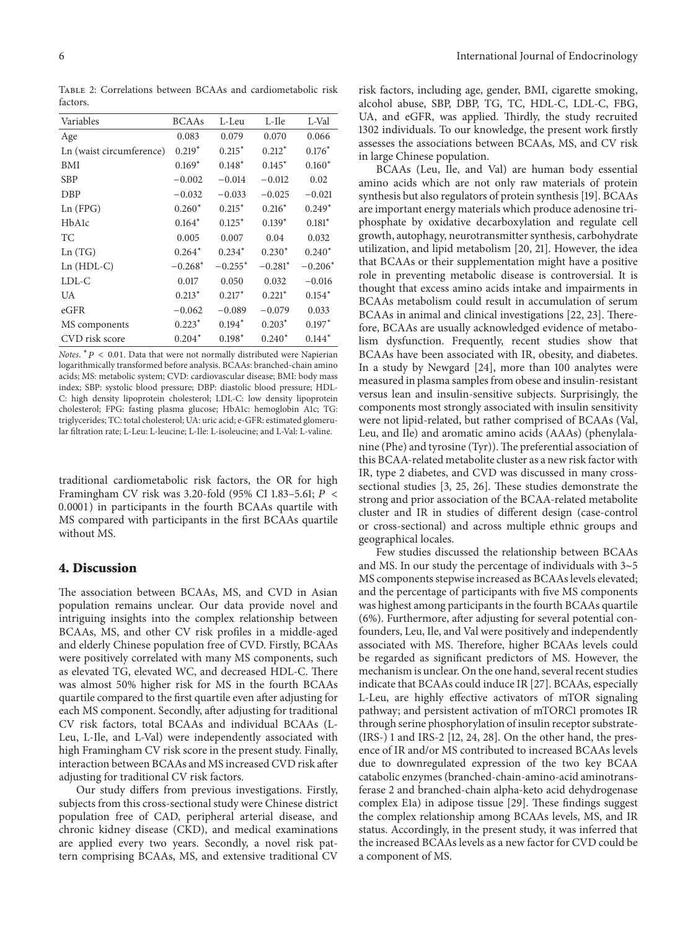Table 2: Correlations between BCAAs and cardiometabolic risk factors.

| Variables                       | <b>BCAAs</b> | L-Leu     | L-Ile     | L-Val     |
|---------------------------------|--------------|-----------|-----------|-----------|
| Age                             | 0.083        | 0.079     | 0.070     | 0.066     |
| Ln (waist circumference)        | $0.219*$     | $0.215*$  | $0.212*$  | $0.176*$  |
| <b>BMI</b>                      | $0.169*$     | $0.148*$  | $0.145*$  | $0.160*$  |
| <b>SBP</b>                      | $-0.002$     | $-0.014$  | $-0.012$  | 0.02      |
| <b>DBP</b>                      | $-0.032$     | $-0.033$  | $-0.025$  | $-0.021$  |
| Ln (FPG)                        | $0.260*$     | $0.215*$  | $0.216*$  | $0.249*$  |
| H <sub>b</sub> A <sub>1</sub> c | $0.164*$     | $0.125*$  | $0.139*$  | $0.181*$  |
| ТC                              | 0.005        | 0.007     | 0.04      | 0.032     |
| Ln(TG)                          | $0.264*$     | $0.234*$  | $0.230*$  | $0.240*$  |
| $Ln(HDL-C)$                     | $-0.268*$    | $-0.255*$ | $-0.281*$ | $-0.206*$ |
| LDL-C                           | 0.017        | 0.050     | 0.032     | $-0.016$  |
| UA                              | $0.213*$     | $0.217*$  | $0.221*$  | $0.154*$  |
| eGFR                            | $-0.062$     | $-0.089$  | $-0.079$  | 0.033     |
| MS components                   | $0.223*$     | $0.194*$  | $0.203*$  | $0.197*$  |
| CVD risk score                  | $0.204*$     | $0.198*$  | $0.240*$  | $0.144*$  |
|                                 |              |           |           |           |

*Notes.*  $* P < 0.01$ . Data that were not normally distributed were Napierian logarithmically transformed before analysis. BCAAs: branched-chain amino acids; MS: metabolic system; CVD: cardiovascular disease; BMI: body mass index; SBP: systolic blood pressure; DBP: diastolic blood pressure; HDL-C: high density lipoprotein cholesterol; LDL-C: low density lipoprotein cholesterol; FPG: fasting plasma glucose; HbA1c: hemoglobin A1c; TG: triglycerides; TC: total cholesterol; UA: uric acid; e-GFR: estimated glomerular filtration rate; L-Leu: L-leucine; L-Ile: L-isoleucine; and L-Val: L-valine.

traditional cardiometabolic risk factors, the OR for high Framingham CV risk was 3.20-fold (95% CI 1.83–5.61; < 0.0001) in participants in the fourth BCAAs quartile with MS compared with participants in the first BCAAs quartile without MS.

#### **4. Discussion**

The association between BCAAs, MS, and CVD in Asian population remains unclear. Our data provide novel and intriguing insights into the complex relationship between BCAAs, MS, and other CV risk profiles in a middle-aged and elderly Chinese population free of CVD. Firstly, BCAAs were positively correlated with many MS components, such as elevated TG, elevated WC, and decreased HDL-C. There was almost 50% higher risk for MS in the fourth BCAAs quartile compared to the first quartile even after adjusting for each MS component. Secondly, after adjusting for traditional CV risk factors, total BCAAs and individual BCAAs (L-Leu, L-Ile, and L-Val) were independently associated with high Framingham CV risk score in the present study. Finally, interaction between BCAAs and MS increased CVD risk after adjusting for traditional CV risk factors.

Our study differs from previous investigations. Firstly, subjects from this cross-sectional study were Chinese district population free of CAD, peripheral arterial disease, and chronic kidney disease (CKD), and medical examinations are applied every two years. Secondly, a novel risk pattern comprising BCAAs, MS, and extensive traditional CV risk factors, including age, gender, BMI, cigarette smoking, alcohol abuse, SBP, DBP, TG, TC, HDL-C, LDL-C, FBG, UA, and eGFR, was applied. Thirdly, the study recruited 1302 individuals. To our knowledge, the present work firstly assesses the associations between BCAAs, MS, and CV risk in large Chinese population.

BCAAs (Leu, Ile, and Val) are human body essential amino acids which are not only raw materials of protein synthesis but also regulators of protein synthesis [19]. BCAAs are important energy materials which produce adenosine triphosphate by oxidative decarboxylation and regulate cell growth, autophagy, neurotransmitter synthesis, carbohydrate utilization, and lipid metabolism [20, 21]. However, the idea that BCAAs or their supplementation might have a positive role in preventing metabolic disease is controversial. It is thought that excess amino acids intake and impairments in BCAAs metabolism could result in accumulation of serum BCAAs in animal and clinical investigations [22, 23]. Therefore, BCAAs are usually acknowledged evidence of metabolism dysfunction. Frequently, recent studies show that BCAAs have been associated with IR, obesity, and diabetes. In a study by Newgard [24], more than 100 analytes were measured in plasma samples from obese and insulin-resistant versus lean and insulin-sensitive subjects. Surprisingly, the components most strongly associated with insulin sensitivity were not lipid-related, but rather comprised of BCAAs (Val, Leu, and Ile) and aromatic amino acids (AAAs) (phenylalanine (Phe) and tyrosine (Tyr)). The preferential association of this BCAA-related metabolite cluster as a new risk factor with IR, type 2 diabetes, and CVD was discussed in many crosssectional studies [3, 25, 26]. These studies demonstrate the strong and prior association of the BCAA-related metabolite cluster and IR in studies of different design (case-control or cross-sectional) and across multiple ethnic groups and geographical locales.

Few studies discussed the relationship between BCAAs and MS. In our study the percentage of individuals with 3∼5 MS components stepwise increased as BCAAs levels elevated; and the percentage of participants with five MS components was highest among participants in the fourth BCAAs quartile (6%). Furthermore, after adjusting for several potential confounders, Leu, Ile, and Val were positively and independently associated with MS. Therefore, higher BCAAs levels could be regarded as significant predictors of MS. However, the mechanism is unclear. On the one hand, several recent studies indicate that BCAAs could induce IR [27]. BCAAs, especially L-Leu, are highly effective activators of mTOR signaling pathway; and persistent activation of mTORC1 promotes IR through serine phosphorylation of insulin receptor substrate- (IRS-) 1 and IRS-2 [12, 24, 28]. On the other hand, the presence of IR and/or MS contributed to increased BCAAs levels due to downregulated expression of the two key BCAA catabolic enzymes (branched-chain-amino-acid aminotransferase 2 and branched-chain alpha-keto acid dehydrogenase complex E1a) in adipose tissue [29]. These findings suggest the complex relationship among BCAAs levels, MS, and IR status. Accordingly, in the present study, it was inferred that the increased BCAAs levels as a new factor for CVD could be a component of MS.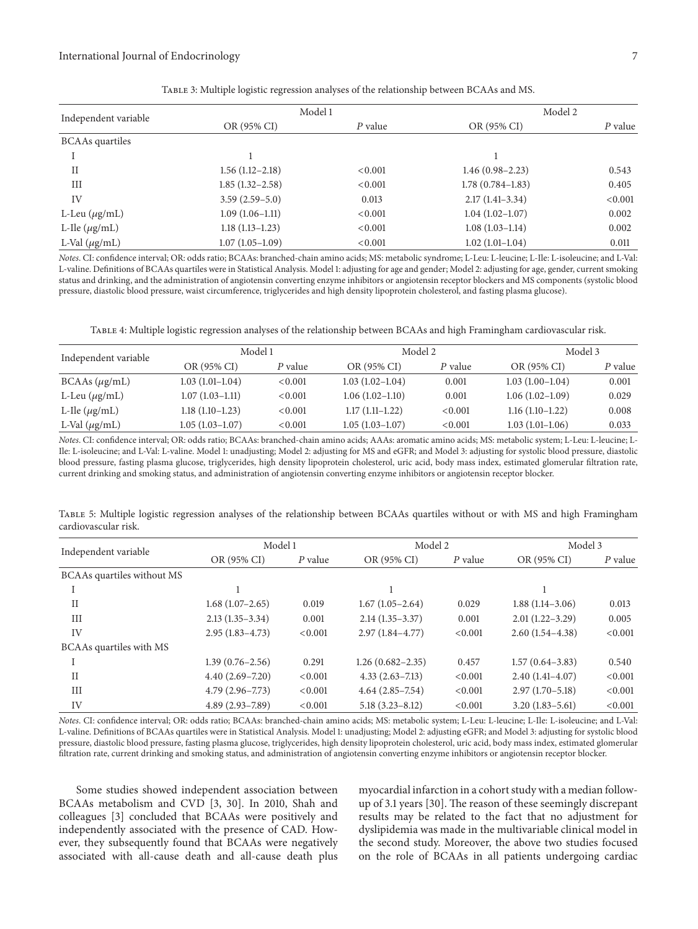| Independent variable   | Model 1             |         | Model 2              |         |
|------------------------|---------------------|---------|----------------------|---------|
|                        | OR (95% CI)         | P value | OR (95% CI)          | P value |
| <b>BCAAs</b> quartiles |                     |         |                      |         |
|                        |                     |         |                      |         |
| П                      | $1.56(1.12-2.18)$   | < 0.001 | $1.46(0.98-2.23)$    | 0.543   |
| Ш                      | $1.85(1.32 - 2.58)$ | < 0.001 | $1.78(0.784 - 1.83)$ | 0.405   |
| IV                     | $3.59(2.59-5.0)$    | 0.013   | $2.17(1.41-3.34)$    | < 0.001 |
| L-Leu $(\mu g/mL)$     | $1.09(1.06-1.11)$   | < 0.001 | $1.04(1.02-1.07)$    | 0.002   |
| L-Ile $(\mu g/mL)$     | $1.18(1.13 - 1.23)$ | < 0.001 | $1.08(1.03-1.14)$    | 0.002   |
| L-Val $(\mu g/mL)$     | $1.07(1.05-1.09)$   | < 0.001 | $1.02(1.01-1.04)$    | 0.011   |

Table 3: Multiple logistic regression analyses of the relationship between BCAAs and MS.

*Notes*. CI: confidence interval; OR: odds ratio; BCAAs: branched-chain amino acids; MS: metabolic syndrome; L-Leu: L-leucine; L-Ile: L-isoleucine; and L-Val: L-valine. Definitions of BCAAs quartiles were in Statistical Analysis. Model 1: adjusting for age and gender; Model 2: adjusting for age, gender, current smoking status and drinking, and the administration of angiotensin converting enzyme inhibitors or angiotensin receptor blockers and MS components (systolic blood pressure, diastolic blood pressure, waist circumference, triglycerides and high density lipoprotein cholesterol, and fasting plasma glucose).

Table 4: Multiple logistic regression analyses of the relationship between BCAAs and high Framingham cardiovascular risk.

| Independent variable |                   | Model 1 |                   | Model 2 |                   | Model 3 |  |
|----------------------|-------------------|---------|-------------------|---------|-------------------|---------|--|
|                      | OR (95% CI)       | P value | OR (95% CI)       | P value | OR (95% CI)       | P value |  |
| $BCAAs (\mu g/mL)$   | $1.03(1.01-1.04)$ | < 0.001 | $1.03(1.02-1.04)$ | 0.001   | $1.03(1.00-1.04)$ | 0.001   |  |
| L-Leu $(\mu$ g/mL)   | $1.07(1.03-1.11)$ | < 0.001 | $1.06(1.02-1.10)$ | 0.001   | $1.06(1.02-1.09)$ | 0.029   |  |
| L-Ile $(\mu g/mL)$   | $1.18(1.10-1.23)$ | < 0.001 | $1.17(1.11-1.22)$ | < 0.001 | $1.16(1.10-1.22)$ | 0.008   |  |
| L-Val $(\mu g/mL)$   | $1.05(1.03-1.07)$ | < 0.001 | $1.05(1.03-1.07)$ | < 0.001 | $1.03(1.01-1.06)$ | 0.033   |  |

*Notes*. CI: confidence interval; OR: odds ratio; BCAAs: branched-chain amino acids; AAAs: aromatic amino acids; MS: metabolic system; L-Leu: L-leucine; L-Ile: L-isoleucine; and L-Val: L-valine. Model 1: unadjusting; Model 2: adjusting for MS and eGFR; and Model 3: adjusting for systolic blood pressure, diastolic blood pressure, fasting plasma glucose, triglycerides, high density lipoprotein cholesterol, uric acid, body mass index, estimated glomerular filtration rate, current drinking and smoking status, and administration of angiotensin converting enzyme inhibitors or angiotensin receptor blocker.

Table 5: Multiple logistic regression analyses of the relationship between BCAAs quartiles without or with MS and high Framingham cardiovascular risk.

| Independent variable       | Model 1             |         | Model 2              |           | Model 3             |         |
|----------------------------|---------------------|---------|----------------------|-----------|---------------------|---------|
|                            | OR (95% CI)         | P value | OR (95% CI)          | $P$ value | OR (95% CI)         | P value |
| BCAAs quartiles without MS |                     |         |                      |           |                     |         |
|                            |                     |         |                      |           |                     |         |
| $_{\rm II}$                | $1.68(1.07-2.65)$   | 0.019   | $1.67(1.05-2.64)$    | 0.029     | $1.88(1.14-3.06)$   | 0.013   |
| III                        | $2.13(1.35-3.34)$   | 0.001   | $2.14(1.35-3.37)$    | 0.001     | $2.01(1.22 - 3.29)$ | 0.005   |
| IV                         | $2.95(1.83 - 4.73)$ | < 0.001 | $2.97(1.84 - 4.77)$  | < 0.001   | $2.60(1.54 - 4.38)$ | < 0.001 |
| BCAAs quartiles with MS    |                     |         |                      |           |                     |         |
|                            | $1.39(0.76 - 2.56)$ | 0.291   | $1.26(0.682 - 2.35)$ | 0.457     | $1.57(0.64-3.83)$   | 0.540   |
| $_{\rm II}$                | $4.40(2.69 - 7.20)$ | < 0.001 | $4.33(2.63 - 7.13)$  | < 0.001   | $2.40(1.41-4.07)$   | < 0.001 |
| Ш                          | $4.79(2.96 - 7.73)$ | < 0.001 | $4.64(2.85 - 7.54)$  | < 0.001   | $2.97(1.70-5.18)$   | < 0.001 |
| IV                         | $4.89(2.93 - 7.89)$ | < 0.001 | $5.18(3.23 - 8.12)$  | < 0.001   | $3.20(1.83 - 5.61)$ | < 0.001 |

*Notes*. CI: confidence interval; OR: odds ratio; BCAAs: branched-chain amino acids; MS: metabolic system; L-Leu: L-leucine; L-Ile: L-isoleucine; and L-Val: L-valine. Definitions of BCAAs quartiles were in Statistical Analysis. Model 1: unadjusting; Model 2: adjusting eGFR; and Model 3: adjusting for systolic blood pressure, diastolic blood pressure, fasting plasma glucose, triglycerides, high density lipoprotein cholesterol, uric acid, body mass index, estimated glomerular filtration rate, current drinking and smoking status, and administration of angiotensin converting enzyme inhibitors or angiotensin receptor blocker.

Some studies showed independent association between BCAAs metabolism and CVD [3, 30]. In 2010, Shah and colleagues [3] concluded that BCAAs were positively and independently associated with the presence of CAD. However, they subsequently found that BCAAs were negatively associated with all-cause death and all-cause death plus myocardial infarction in a cohort study with a median followup of 3.1 years [30]. The reason of these seemingly discrepant results may be related to the fact that no adjustment for dyslipidemia was made in the multivariable clinical model in the second study. Moreover, the above two studies focused on the role of BCAAs in all patients undergoing cardiac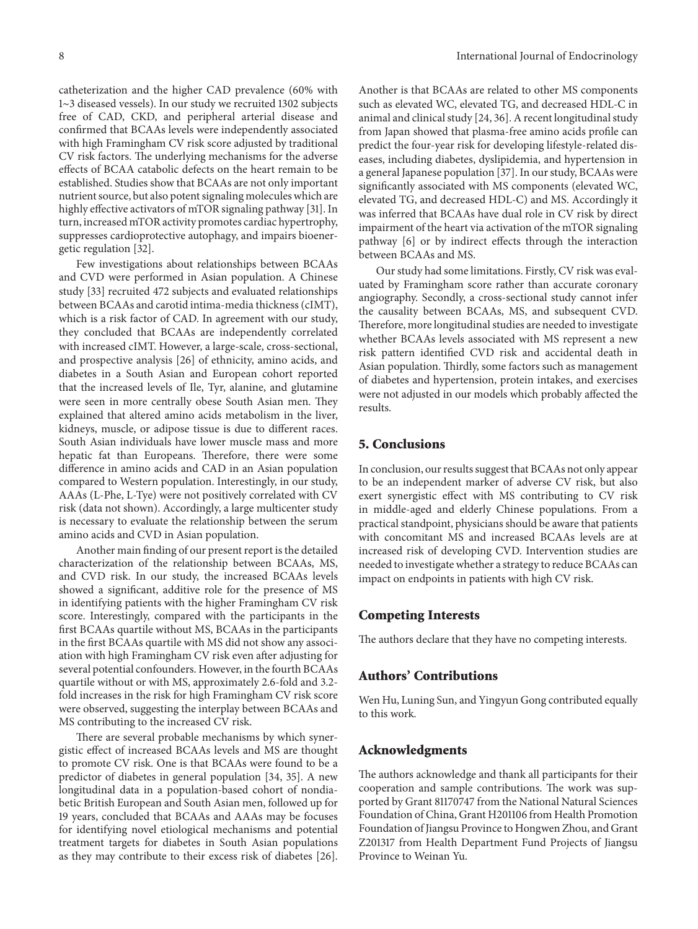catheterization and the higher CAD prevalence (60% with 1∼3 diseased vessels). In our study we recruited 1302 subjects free of CAD, CKD, and peripheral arterial disease and confirmed that BCAAs levels were independently associated with high Framingham CV risk score adjusted by traditional CV risk factors. The underlying mechanisms for the adverse effects of BCAA catabolic defects on the heart remain to be established. Studies show that BCAAs are not only important nutrient source, but also potent signaling molecules which are highly effective activators of mTOR signaling pathway [31]. In turn, increased mTOR activity promotes cardiac hypertrophy, suppresses cardioprotective autophagy, and impairs bioenergetic regulation [32].

Few investigations about relationships between BCAAs and CVD were performed in Asian population. A Chinese study [33] recruited 472 subjects and evaluated relationships between BCAAs and carotid intima-media thickness (cIMT), which is a risk factor of CAD. In agreement with our study, they concluded that BCAAs are independently correlated with increased cIMT. However, a large-scale, cross-sectional, and prospective analysis [26] of ethnicity, amino acids, and diabetes in a South Asian and European cohort reported that the increased levels of Ile, Tyr, alanine, and glutamine were seen in more centrally obese South Asian men. They explained that altered amino acids metabolism in the liver, kidneys, muscle, or adipose tissue is due to different races. South Asian individuals have lower muscle mass and more hepatic fat than Europeans. Therefore, there were some difference in amino acids and CAD in an Asian population compared to Western population. Interestingly, in our study, AAAs (L-Phe, L-Tye) were not positively correlated with CV risk (data not shown). Accordingly, a large multicenter study is necessary to evaluate the relationship between the serum amino acids and CVD in Asian population.

Another main finding of our present report is the detailed characterization of the relationship between BCAAs, MS, and CVD risk. In our study, the increased BCAAs levels showed a significant, additive role for the presence of MS in identifying patients with the higher Framingham CV risk score. Interestingly, compared with the participants in the first BCAAs quartile without MS, BCAAs in the participants in the first BCAAs quartile with MS did not show any association with high Framingham CV risk even after adjusting for several potential confounders. However, in the fourth BCAAs quartile without or with MS, approximately 2.6-fold and 3.2 fold increases in the risk for high Framingham CV risk score were observed, suggesting the interplay between BCAAs and MS contributing to the increased CV risk.

There are several probable mechanisms by which synergistic effect of increased BCAAs levels and MS are thought to promote CV risk. One is that BCAAs were found to be a predictor of diabetes in general population [34, 35]. A new longitudinal data in a population-based cohort of nondiabetic British European and South Asian men, followed up for 19 years, concluded that BCAAs and AAAs may be focuses for identifying novel etiological mechanisms and potential treatment targets for diabetes in South Asian populations as they may contribute to their excess risk of diabetes [26]. Another is that BCAAs are related to other MS components such as elevated WC, elevated TG, and decreased HDL-C in animal and clinical study [24, 36]. A recent longitudinal study from Japan showed that plasma-free amino acids profile can predict the four-year risk for developing lifestyle-related diseases, including diabetes, dyslipidemia, and hypertension in a general Japanese population [37]. In our study, BCAAs were significantly associated with MS components (elevated WC, elevated TG, and decreased HDL-C) and MS. Accordingly it was inferred that BCAAs have dual role in CV risk by direct impairment of the heart via activation of the mTOR signaling pathway [6] or by indirect effects through the interaction between BCAAs and MS.

Our study had some limitations. Firstly, CV risk was evaluated by Framingham score rather than accurate coronary angiography. Secondly, a cross-sectional study cannot infer the causality between BCAAs, MS, and subsequent CVD. Therefore, more longitudinal studies are needed to investigate whether BCAAs levels associated with MS represent a new risk pattern identified CVD risk and accidental death in Asian population. Thirdly, some factors such as management of diabetes and hypertension, protein intakes, and exercises were not adjusted in our models which probably affected the results.

#### **5. Conclusions**

In conclusion, our results suggest that BCAAs not only appear to be an independent marker of adverse CV risk, but also exert synergistic effect with MS contributing to CV risk in middle-aged and elderly Chinese populations. From a practical standpoint, physicians should be aware that patients with concomitant MS and increased BCAAs levels are at increased risk of developing CVD. Intervention studies are needed to investigate whether a strategy to reduce BCAAs can impact on endpoints in patients with high CV risk.

#### **Competing Interests**

The authors declare that they have no competing interests.

#### **Authors' Contributions**

Wen Hu, Luning Sun, and Yingyun Gong contributed equally to this work*.*

#### **Acknowledgments**

The authors acknowledge and thank all participants for their cooperation and sample contributions. The work was supported by Grant 81170747 from the National Natural Sciences Foundation of China, Grant H201106 from Health Promotion Foundation of Jiangsu Province to Hongwen Zhou, and Grant Z201317 from Health Department Fund Projects of Jiangsu Province to Weinan Yu.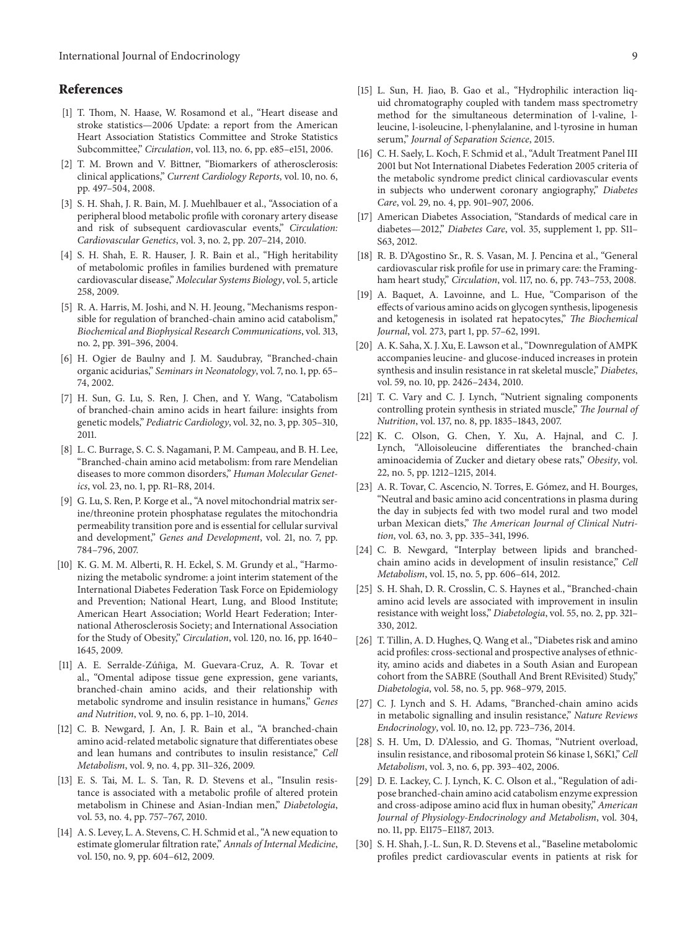### **References**

- [1] T. Thom, N. Haase, W. Rosamond et al., "Heart disease and stroke statistics—2006 Update: a report from the American Heart Association Statistics Committee and Stroke Statistics Subcommittee," *Circulation*, vol. 113, no. 6, pp. e85–e151, 2006.
- [2] T. M. Brown and V. Bittner, "Biomarkers of atherosclerosis: clinical applications," *Current Cardiology Reports*, vol. 10, no. 6, pp. 497–504, 2008.
- [3] S. H. Shah, J. R. Bain, M. J. Muehlbauer et al., "Association of a peripheral blood metabolic profile with coronary artery disease and risk of subsequent cardiovascular events," *Circulation: Cardiovascular Genetics*, vol. 3, no. 2, pp. 207–214, 2010.
- [4] S. H. Shah, E. R. Hauser, J. R. Bain et al., "High heritability of metabolomic profiles in families burdened with premature cardiovascular disease," *Molecular Systems Biology*, vol. 5, article 258, 2009.
- [5] R. A. Harris, M. Joshi, and N. H. Jeoung, "Mechanisms responsible for regulation of branched-chain amino acid catabolism," *Biochemical and Biophysical Research Communications*, vol. 313, no. 2, pp. 391–396, 2004.
- [6] H. Ogier de Baulny and J. M. Saudubray, "Branched-chain organic acidurias," *Seminars in Neonatology*, vol. 7, no. 1, pp. 65– 74, 2002.
- [7] H. Sun, G. Lu, S. Ren, J. Chen, and Y. Wang, "Catabolism of branched-chain amino acids in heart failure: insights from genetic models," *Pediatric Cardiology*, vol. 32, no. 3, pp. 305–310, 2011.
- [8] L. C. Burrage, S. C. S. Nagamani, P. M. Campeau, and B. H. Lee, "Branched-chain amino acid metabolism: from rare Mendelian diseases to more common disorders," *Human Molecular Genetics*, vol. 23, no. 1, pp. R1–R8, 2014.
- [9] G. Lu, S. Ren, P. Korge et al., "A novel mitochondrial matrix serine/threonine protein phosphatase regulates the mitochondria permeability transition pore and is essential for cellular survival and development," *Genes and Development*, vol. 21, no. 7, pp. 784–796, 2007.
- [10] K. G. M. M. Alberti, R. H. Eckel, S. M. Grundy et al., "Harmonizing the metabolic syndrome: a joint interim statement of the International Diabetes Federation Task Force on Epidemiology and Prevention; National Heart, Lung, and Blood Institute; American Heart Association; World Heart Federation; International Atherosclerosis Society; and International Association for the Study of Obesity," *Circulation*, vol. 120, no. 16, pp. 1640– 1645, 2009.
- [11] A. E. Serralde-Zúñiga, M. Guevara-Cruz, A. R. Tovar et al., "Omental adipose tissue gene expression, gene variants, branched-chain amino acids, and their relationship with metabolic syndrome and insulin resistance in humans," *Genes and Nutrition*, vol. 9, no. 6, pp. 1–10, 2014.
- [12] C. B. Newgard, J. An, J. R. Bain et al., "A branched-chain amino acid-related metabolic signature that differentiates obese and lean humans and contributes to insulin resistance," *Cell Metabolism*, vol. 9, no. 4, pp. 311–326, 2009.
- [13] E. S. Tai, M. L. S. Tan, R. D. Stevens et al., "Insulin resistance is associated with a metabolic profile of altered protein metabolism in Chinese and Asian-Indian men," *Diabetologia*, vol. 53, no. 4, pp. 757–767, 2010.
- [14] A. S. Levey, L. A. Stevens, C. H. Schmid et al., "A new equation to estimate glomerular filtration rate," *Annals of Internal Medicine*, vol. 150, no. 9, pp. 604–612, 2009.
- [15] L. Sun, H. Jiao, B. Gao et al., "Hydrophilic interaction liquid chromatography coupled with tandem mass spectrometry method for the simultaneous determination of l-valine, lleucine, l-isoleucine, l-phenylalanine, and l-tyrosine in human serum," *Journal of Separation Science*, 2015.
- [16] C. H. Saely, L. Koch, F. Schmid et al., "Adult Treatment Panel III 2001 but Not International Diabetes Federation 2005 criteria of the metabolic syndrome predict clinical cardiovascular events in subjects who underwent coronary angiography," *Diabetes Care*, vol. 29, no. 4, pp. 901–907, 2006.
- [17] American Diabetes Association, "Standards of medical care in diabetes—2012," *Diabetes Care*, vol. 35, supplement 1, pp. S11– S63, 2012.
- [18] R. B. D'Agostino Sr., R. S. Vasan, M. J. Pencina et al., "General cardiovascular risk profile for use in primary care: the Framingham heart study," *Circulation*, vol. 117, no. 6, pp. 743–753, 2008.
- [19] A. Baquet, A. Lavoinne, and L. Hue, "Comparison of the effects of various amino acids on glycogen synthesis, lipogenesis and ketogenesis in isolated rat hepatocytes," *The Biochemical Journal*, vol. 273, part 1, pp. 57–62, 1991.
- [20] A. K. Saha, X. J. Xu, E. Lawson et al., "Downregulation of AMPK accompanies leucine- and glucose-induced increases in protein synthesis and insulin resistance in rat skeletal muscle," *Diabetes*, vol. 59, no. 10, pp. 2426–2434, 2010.
- [21] T. C. Vary and C. J. Lynch, "Nutrient signaling components controlling protein synthesis in striated muscle," *The Journal of Nutrition*, vol. 137, no. 8, pp. 1835–1843, 2007.
- [22] K. C. Olson, G. Chen, Y. Xu, A. Hajnal, and C. J. Lynch, "Alloisoleucine differentiates the branched-chain aminoacidemia of Zucker and dietary obese rats," *Obesity*, vol. 22, no. 5, pp. 1212–1215, 2014.
- [23] A. R. Tovar, C. Ascencio, N. Torres, E. Gómez, and H. Bourges, "Neutral and basic amino acid concentrations in plasma during the day in subjects fed with two model rural and two model urban Mexican diets," *The American Journal of Clinical Nutrition*, vol. 63, no. 3, pp. 335–341, 1996.
- [24] C. B. Newgard, "Interplay between lipids and branchedchain amino acids in development of insulin resistance," *Cell Metabolism*, vol. 15, no. 5, pp. 606–614, 2012.
- [25] S. H. Shah, D. R. Crosslin, C. S. Haynes et al., "Branched-chain amino acid levels are associated with improvement in insulin resistance with weight loss," *Diabetologia*, vol. 55, no. 2, pp. 321– 330, 2012.
- [26] T. Tillin, A. D. Hughes, Q. Wang et al., "Diabetes risk and amino acid profiles: cross-sectional and prospective analyses of ethnicity, amino acids and diabetes in a South Asian and European cohort from the SABRE (Southall And Brent REvisited) Study," *Diabetologia*, vol. 58, no. 5, pp. 968–979, 2015.
- [27] C. J. Lynch and S. H. Adams, "Branched-chain amino acids in metabolic signalling and insulin resistance," *Nature Reviews Endocrinology*, vol. 10, no. 12, pp. 723–736, 2014.
- [28] S. H. Um, D. D'Alessio, and G. Thomas, "Nutrient overload, insulin resistance, and ribosomal protein S6 kinase 1, S6K1," *Cell Metabolism*, vol. 3, no. 6, pp. 393–402, 2006.
- [29] D. E. Lackey, C. J. Lynch, K. C. Olson et al., "Regulation of adipose branched-chain amino acid catabolism enzyme expression and cross-adipose amino acid flux in human obesity," *American Journal of Physiology-Endocrinology and Metabolism*, vol. 304, no. 11, pp. E1175–E1187, 2013.
- [30] S. H. Shah, J.-L. Sun, R. D. Stevens et al., "Baseline metabolomic profiles predict cardiovascular events in patients at risk for